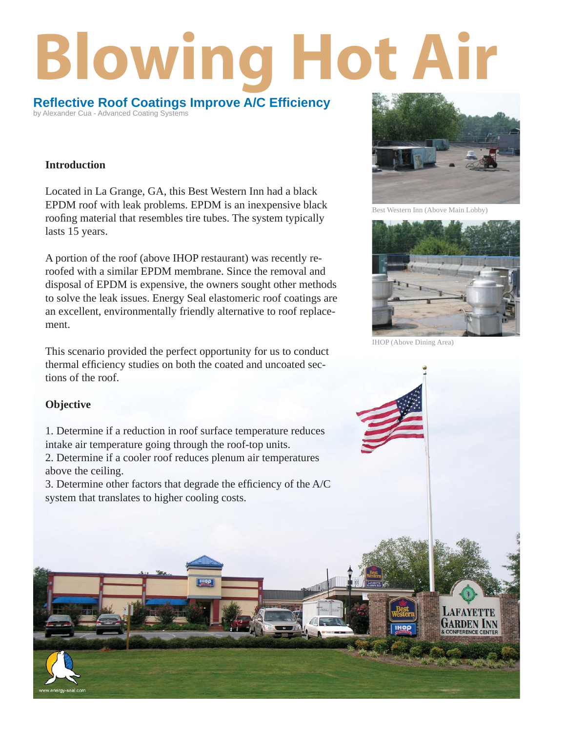# **Blowing Hot Air**

**Refl ective Roof Coatings Improve A/C Effi ciency** by Alexander Cua - Advanced Coating Systems

## **Introduction**

Located in La Grange, GA, this Best Western Inn had a black EPDM roof with leak problems. EPDM is an inexpensive black roofing material that resembles tire tubes. The system typically lasts 15 years.

A portion of the roof (above IHOP restaurant) was recently reroofed with a similar EPDM membrane. Since the removal and disposal of EPDM is expensive, the owners sought other methods to solve the leak issues. Energy Seal elastomeric roof coatings are an excellent, environmentally friendly alternative to roof replacement.

This scenario provided the perfect opportunity for us to conduct thermal efficiency studies on both the coated and uncoated sections of the roof.



Best Western Inn (Above Main Lobby)



IHOP (Above Dining Area)

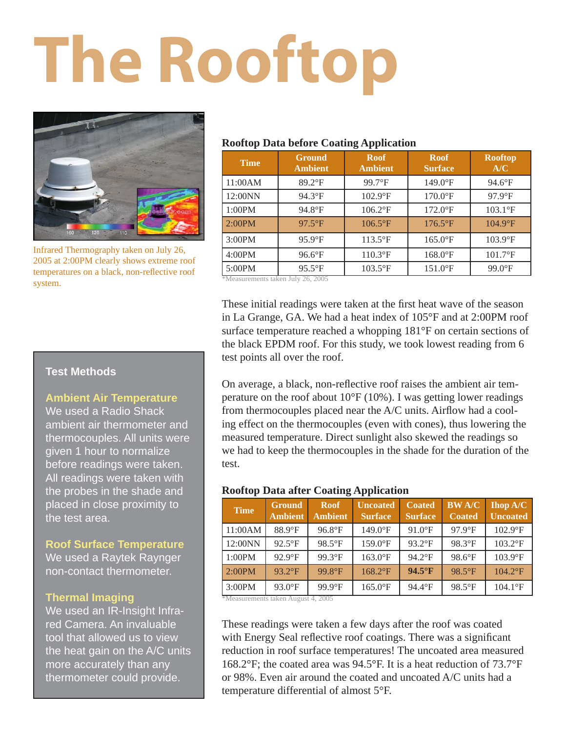# **The Rooftop**



Infrared Thermography taken on July 26, 2005 at 2:00PM clearly shows extreme roof temperatures on a black, non-reflective roof system.

## **Rooftop Data before Coating Application**

| <b>Time</b> | <b>Ground</b><br><b>Ambient</b> | <b>Roof</b><br><b>Ambient</b> | <b>Roof</b><br><b>Surface</b> | <b>Rooftop</b><br>A/C |
|-------------|---------------------------------|-------------------------------|-------------------------------|-----------------------|
| 11:00AM     | $89.2$ <sup>°</sup> F           | $99.7$ °F                     | $149.0$ °F                    | $94.6^{\circ}$ F      |
| 12:00NN     | $94.3^{\circ}F$                 | $102.9$ °F                    | $170.0$ <sup>o</sup> F        | $97.9$ °F             |
| 1:00PM      | 94.8°F                          | $106.2$ <sup>o</sup> F        | $172.0$ <sup>o</sup> F        | $103.1$ °F            |
| 2:00PM      | $97.5^{\circ}F$                 | $106.5$ °F                    | $176.5$ °F                    | $104.9$ °F            |
| 3:00PM      | $95.9$ °F                       | $113.5$ °F                    | $165.0$ <sup>o</sup> F        | $103.9$ °F            |
| 4:00PM      | $96.6^{\circ}F$                 | 110.3°F                       | $168.0$ <sup>o</sup> F        | 101.7°F               |
| 5:00PM      | $95.5^{\circ}$ F                | $103.5$ °F                    | $151.0$ <sup>o</sup> F        | $99.0$ <sup>°</sup> F |

\*Measurements taken July 26, 2005

These initial readings were taken at the first heat wave of the season in La Grange, GA. We had a heat index of 105°F and at 2:00PM roof surface temperature reached a whopping 181°F on certain sections of the black EPDM roof. For this study, we took lowest reading from 6 test points all over the roof.

On average, a black, non-reflective roof raises the ambient air temperature on the roof about 10°F (10%). I was getting lower readings from thermocouples placed near the  $A/C$  units. Airflow had a cooling effect on the thermocouples (even with cones), thus lowering the measured temperature. Direct sunlight also skewed the readings so we had to keep the thermocouples in the shade for the duration of the test.

## **Rooftop Data after Coating Application**

|                                    |                                 |                               | .                                 |                                 |                               |                                    |  |  |
|------------------------------------|---------------------------------|-------------------------------|-----------------------------------|---------------------------------|-------------------------------|------------------------------------|--|--|
| <b>Time</b>                        | <b>Ground</b><br><b>Ambient</b> | <b>Roof</b><br><b>Ambient</b> | <b>Uncoated</b><br><b>Surface</b> | <b>Coated</b><br><b>Surface</b> | <b>BWA/C</b><br><b>Coated</b> | <b>Ihop A/C</b><br><b>Uncoated</b> |  |  |
| 11:00AM                            | 88.9°F                          | $96.8$ °F                     | $149.0$ °F                        | $91.0$ <sup>°</sup> F           | $97.9$ °F                     | $102.9$ °F                         |  |  |
| 12:00NN                            | $92.5^{\circ}F$                 | 98.5°F                        | 159.0°F                           | $93.2$ °F                       | 98.3°F                        | $103.2$ °F                         |  |  |
| 1:00PM                             | $92.9^{\circ}F$                 | 99.3°F                        | $163.0$ °F                        | $94.2^{\circ}F$                 | 98.6°F                        | $103.9$ °F                         |  |  |
| 2:00PM                             | 93.2°F                          | 99.8°F                        | $168.2$ <sup>°</sup> F            | 94.5°F                          | 98.5°F                        | $104.2$ <sup>o</sup> F             |  |  |
| 3:00PM                             | $93.0$ °F                       | 99.9°F                        | $165.0$ °F                        | 94.4°F                          | $98.5^{\circ}F$               | $104.1^{\circ}F$                   |  |  |
| 2005<br>*Megeuremente taken August |                                 |                               |                                   |                                 |                               |                                    |  |  |

\*Measurements taken August 4, 2005

These readings were taken a few days after the roof was coated with Energy Seal reflective roof coatings. There was a significant reduction in roof surface temperatures! The uncoated area measured 168.2°F; the coated area was 94.5°F. It is a heat reduction of 73.7°F or 98%. Even air around the coated and uncoated A/C units had a temperature differential of almost 5°F.

# **Test Methods**

## **Ambient Air Temperature**

We used a Radio Shack ambient air thermometer and thermocouples. All units were given 1 hour to normalize before readings were taken. All readings were taken with the probes in the shade and placed in close proximity to the test area.

# **Roof Surface Temperature**

We used a Raytek Raynger non-contact thermometer.

## **Thermal Imaging**

We used an IR-Insight Infrared Camera. An invaluable tool that allowed us to view the heat gain on the A/C units more accurately than any thermometer could provide.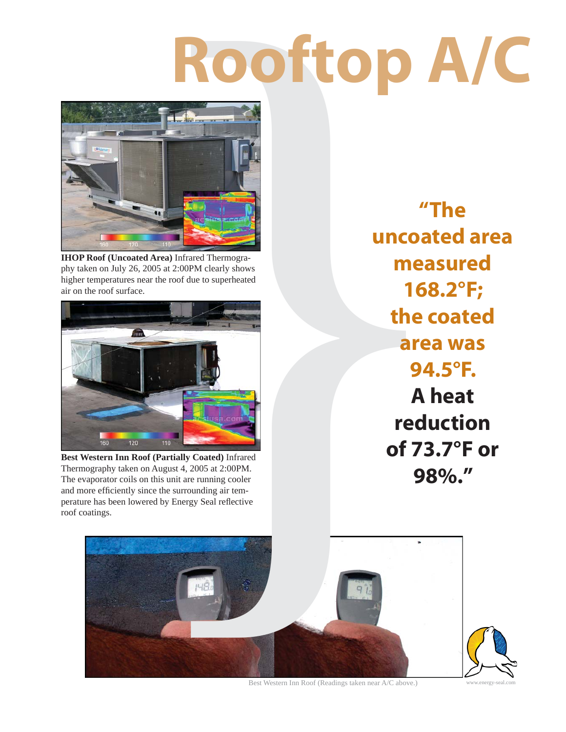# **Rooftop A/C**



**IHOP Roof (Uncoated Area)** Infrared Thermography taken on July 26, 2005 at 2:00PM clearly shows higher temperatures near the roof due to superheated air on the roof surface.



**Best Western Inn Roof (Partially Coated)** Infrared Thermography taken on August 4, 2005 at 2:00PM. The evaporator coils on this unit are running cooler and more efficiently since the surrounding air temperature has been lowered by Energy Seal reflective roof coatings.

**"The uncoated area measured 168.2°F; the coated area was 94.5°F. A heat reduction of 73.7°F or 98%."**



Best Western Inn Roof (Readings taken near A/C above.)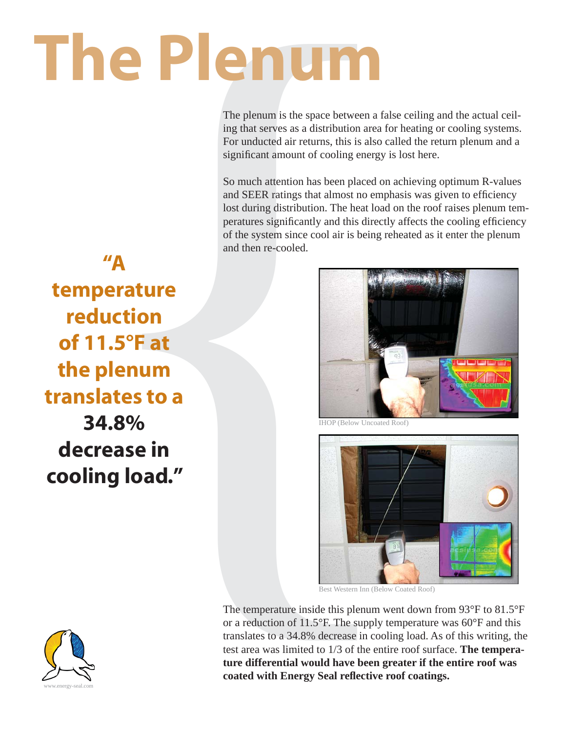# **The Plenum**

The plenum is the space between a false ceiling and the actual ceiling that serves as a distribution area for heating or cooling systems. For unducted air returns, this is also called the return plenum and a significant amount of cooling energy is lost here.

So much attention has been placed on achieving optimum R-values and SEER ratings that almost no emphasis was given to efficiency lost during distribution. The heat load on the roof raises plenum temperatures significantly and this directly affects the cooling efficiency of the system since cool air is being reheated as it enter the plenum and then re-cooled.

**"A temperature reduction of 11.5°F at the plenum translates to a** 

**34.8% decrease in cooling load."**



Best Western Inn (Below Coated Roof)

or a reduction of 11.5°F. The supply temperature was 60°F and this translates to a 34.8% decrease in cooling load. As of this writing, the test area was limited to 1/3 of the entire roof surface. **The temperature differential would have been greater if the entire roof was**  coated with Energy Seal reflective roof coatings.